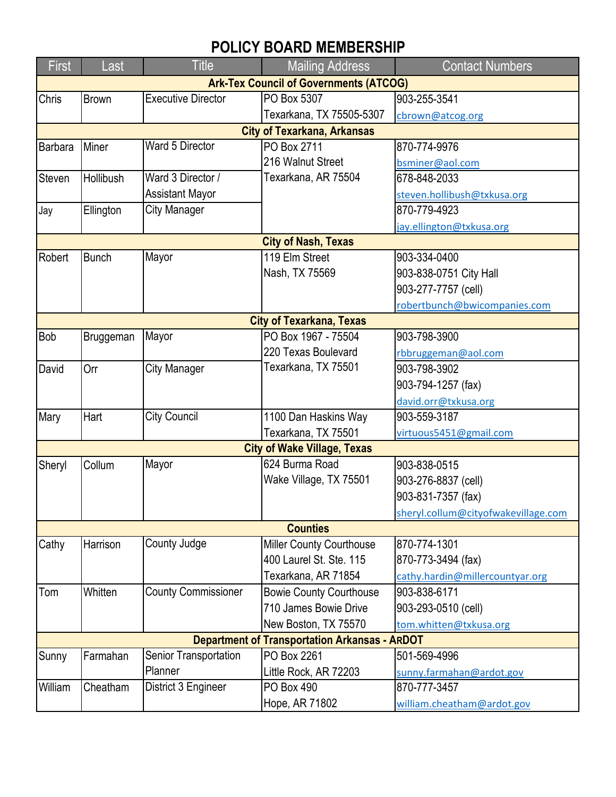## **POLICY BOARD MEMBERSHIP**

| <b>First</b>                                         | Last         | <b>Title</b>               | <b>Mailing Address</b>         | <b>Contact Numbers</b>              |  |  |  |  |
|------------------------------------------------------|--------------|----------------------------|--------------------------------|-------------------------------------|--|--|--|--|
| <b>Ark-Tex Council of Governments (ATCOG)</b>        |              |                            |                                |                                     |  |  |  |  |
| Chris                                                | <b>Brown</b> | <b>Executive Director</b>  | PO Box 5307                    | 903-255-3541                        |  |  |  |  |
|                                                      |              |                            | Texarkana, TX 75505-5307       | cbrown@atcog.org                    |  |  |  |  |
| <b>City of Texarkana, Arkansas</b>                   |              |                            |                                |                                     |  |  |  |  |
| Barbara                                              | Miner        | Ward 5 Director            | PO Box 2711                    | 870-774-9976                        |  |  |  |  |
|                                                      |              |                            | 216 Walnut Street              | bsminer@aol.com                     |  |  |  |  |
| Steven                                               | Hollibush    | Ward 3 Director /          | Texarkana, AR 75504            | 678-848-2033                        |  |  |  |  |
|                                                      |              | <b>Assistant Mayor</b>     |                                | steven.hollibush@txkusa.org         |  |  |  |  |
| Jay                                                  | Ellington    | <b>City Manager</b>        |                                | 870-779-4923                        |  |  |  |  |
|                                                      |              |                            |                                | jay.ellington@txkusa.org            |  |  |  |  |
| <b>City of Nash, Texas</b>                           |              |                            |                                |                                     |  |  |  |  |
| Robert                                               | <b>Bunch</b> | Mayor                      | 119 Elm Street                 | 903-334-0400                        |  |  |  |  |
|                                                      |              |                            | Nash, TX 75569                 | 903-838-0751 City Hall              |  |  |  |  |
|                                                      |              |                            |                                | 903-277-7757 (cell)                 |  |  |  |  |
|                                                      |              |                            |                                | robertbunch@bwicompanies.com        |  |  |  |  |
| <b>City of Texarkana, Texas</b>                      |              |                            |                                |                                     |  |  |  |  |
| <b>Bob</b>                                           | Bruggeman    | Mayor                      | PO Box 1967 - 75504            | 903-798-3900                        |  |  |  |  |
|                                                      |              |                            | 220 Texas Boulevard            | rbbruggeman@aol.com                 |  |  |  |  |
| David                                                | Orr          | City Manager               | Texarkana, TX 75501            | 903-798-3902                        |  |  |  |  |
|                                                      |              |                            |                                | 903-794-1257 (fax)                  |  |  |  |  |
|                                                      |              |                            |                                | david.orr@txkusa.org                |  |  |  |  |
| Mary                                                 | Hart         | <b>City Council</b>        | 1100 Dan Haskins Way           | 903-559-3187                        |  |  |  |  |
|                                                      |              |                            | Texarkana, TX 75501            | virtuous5451@gmail.com              |  |  |  |  |
| <b>City of Wake Village, Texas</b>                   |              |                            |                                |                                     |  |  |  |  |
| Sheryl                                               | Collum       | Mayor                      | 624 Burma Road                 | 903-838-0515                        |  |  |  |  |
|                                                      |              |                            | Wake Village, TX 75501         | 903-276-8837 (cell)                 |  |  |  |  |
|                                                      |              |                            |                                | 903-831-7357 (fax)                  |  |  |  |  |
|                                                      |              |                            |                                | sheryl.collum@cityofwakevillage.com |  |  |  |  |
|                                                      |              |                            | <b>Counties</b>                |                                     |  |  |  |  |
| Cathy                                                | Harrison     | County Judge               | Miller County Courthouse       | 870-774-1301                        |  |  |  |  |
|                                                      |              |                            | 400 Laurel St. Ste. 115        | 870-773-3494 (fax)                  |  |  |  |  |
|                                                      |              |                            | Texarkana, AR 71854            | cathy.hardin@millercountyar.org     |  |  |  |  |
| Tom                                                  | Whitten      | <b>County Commissioner</b> | <b>Bowie County Courthouse</b> | 903-838-6171                        |  |  |  |  |
|                                                      |              |                            | 710 James Bowie Drive          | 903-293-0510 (cell)                 |  |  |  |  |
|                                                      |              |                            | New Boston, TX 75570           | tom.whitten@txkusa.org              |  |  |  |  |
| <b>Department of Transportation Arkansas - ARDOT</b> |              |                            |                                |                                     |  |  |  |  |
| Sunny                                                | Farmahan     | Senior Transportation      | PO Box 2261                    | 501-569-4996                        |  |  |  |  |
|                                                      |              | Planner                    | Little Rock, AR 72203          | sunny.farmahan@ardot.gov            |  |  |  |  |
| William                                              | Cheatham     | District 3 Engineer        | PO Box 490                     | 870-777-3457                        |  |  |  |  |
|                                                      |              |                            | Hope, AR 71802                 | william.cheatham@ardot.gov          |  |  |  |  |